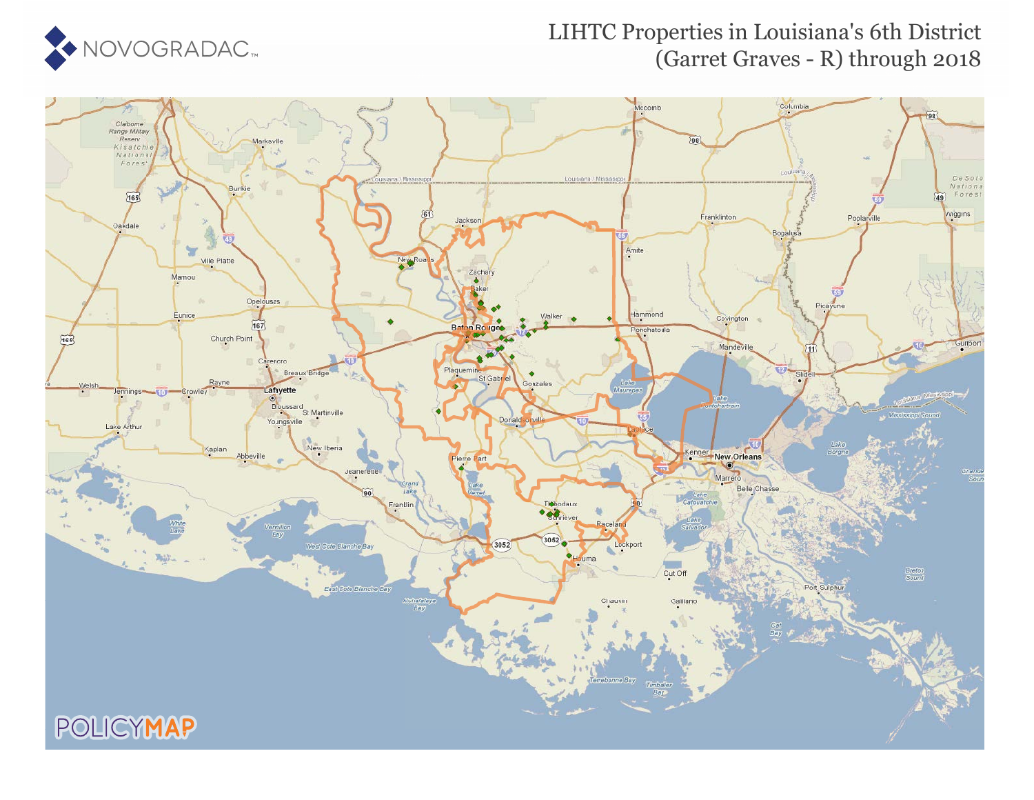

## LIHTC Properties in Louisiana's 6th District (Garret Graves - R) through 2018

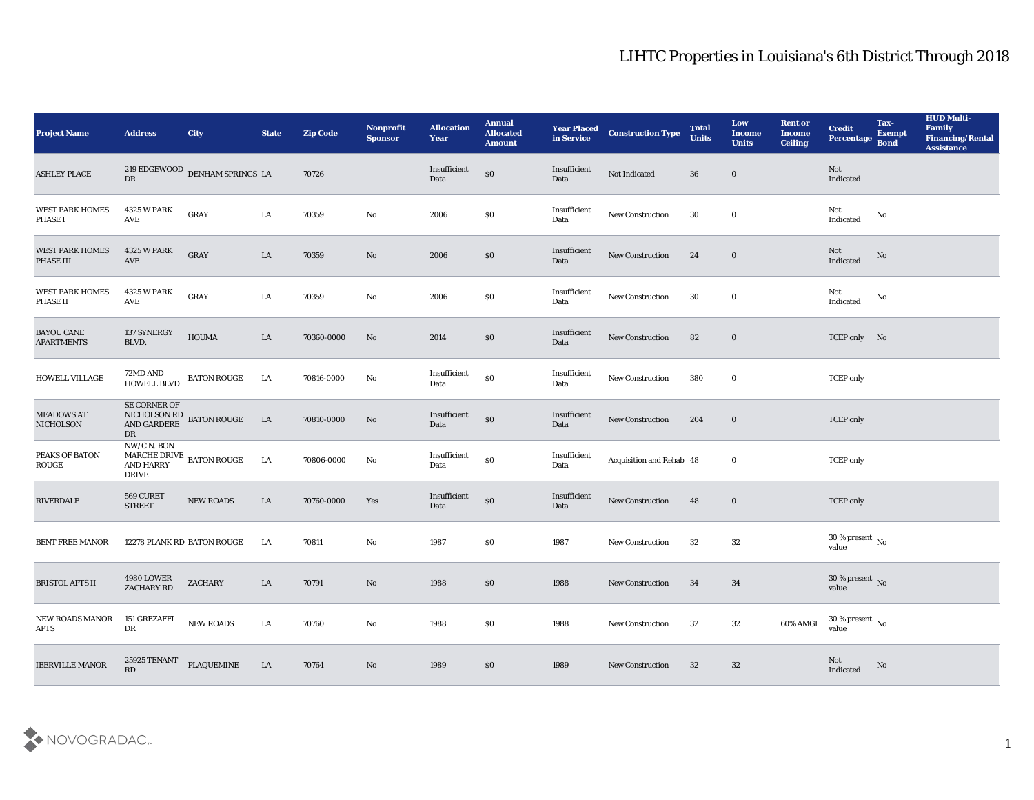| <b>Project Name</b>                      | <b>Address</b>                                  | City                                            | <b>State</b> | <b>Zip Code</b> | Nonprofit<br><b>Sponsor</b> | <b>Allocation</b><br><b>Year</b> | <b>Annual</b><br><b>Allocated</b><br><b>Amount</b> | <b>Year Placed</b><br>in Service | <b>Construction Type</b> | <b>Total</b><br><b>Units</b> | Low<br><b>Income</b><br><b>Units</b> | <b>Rent or</b><br><b>Income</b><br><b>Ceiling</b> | <b>Credit</b><br>Percentage        | Tax-<br><b>Exempt</b><br><b>Bond</b> | <b>HUD Multi-</b><br>Family<br><b>Financing/Rental</b><br><b>Assistance</b> |
|------------------------------------------|-------------------------------------------------|-------------------------------------------------|--------------|-----------------|-----------------------------|----------------------------------|----------------------------------------------------|----------------------------------|--------------------------|------------------------------|--------------------------------------|---------------------------------------------------|------------------------------------|--------------------------------------|-----------------------------------------------------------------------------|
| <b>ASHLEY PLACE</b>                      | DR                                              | $219$ EDGEWOOD $\,$ DENHAM SPRINGS $\,$ LA $\,$ |              | 70726           |                             | Insufficient<br>Data             | $\$0$                                              | Insufficient<br>Data             | Not Indicated            | 36                           | $\bf{0}$                             |                                                   | Not<br>Indicated                   |                                      |                                                                             |
| <b>WEST PARK HOMES</b><br><b>PHASE I</b> | <b>4325 W PARK</b><br>AVE                       | <b>GRAY</b>                                     | LA           | 70359           | No                          | 2006                             | \$0                                                | Insufficient<br>Data             | New Construction         | 30                           | $\bf{0}$                             |                                                   | Not<br>Indicated                   | No                                   |                                                                             |
| <b>WEST PARK HOMES</b><br>PHASE III      | <b>4325 W PARK</b><br>AVE                       | GRAY                                            | LA           | 70359           | $\rm\thinspace No$          | 2006                             | \$0                                                | Insufficient<br>Data             | <b>New Construction</b>  | 24                           | $\bf{0}$                             |                                                   | Not<br>Indicated                   | No                                   |                                                                             |
| <b>WEST PARK HOMES</b><br>PHASE II       | <b>4325 W PARK</b><br>AVE                       | <b>GRAY</b>                                     | LA           | 70359           | No                          | 2006                             | \$0                                                | Insufficient<br>Data             | New Construction         | 30                           | $\bf{0}$                             |                                                   | Not<br>Indicated                   | No                                   |                                                                             |
| <b>BAYOU CANE</b><br><b>APARTMENTS</b>   | 137 SYNERGY<br>BLVD.                            | <b>HOUMA</b>                                    | LA           | 70360-0000      | No                          | 2014                             | $\$0$                                              | Insufficient<br>Data             | <b>New Construction</b>  | 82                           | $\bf{0}$                             |                                                   | TCEP only No                       |                                      |                                                                             |
| HOWELL VILLAGE                           | 72MD AND<br>HOWELL BLVD                         | <b>BATON ROUGE</b>                              | LA           | 70816-0000      | No                          | Insufficient<br>Data             | $\$0$                                              | Insufficient<br>Data             | New Construction         | 380                          | $\bf{0}$                             |                                                   | <b>TCEP</b> only                   |                                      |                                                                             |
| <b>MEADOWS AT</b><br><b>NICHOLSON</b>    | SE CORNER OF<br>DR                              | NICHOLSON RD<br>AND GARDERE<br>BATON ROUGE      | <b>LA</b>    | 70810-0000      | $\mathbf{N}\mathbf{o}$      | Insufficient<br>Data             | $\$0$                                              | Insufficient<br>Data             | <b>New Construction</b>  | 204                          | $\bf{0}$                             |                                                   | <b>TCEP</b> only                   |                                      |                                                                             |
| PEAKS OF BATON<br><b>ROUGE</b>           | NW/C N. BON<br><b>AND HARRY</b><br><b>DRIVE</b> | MARCHE DRIVE BATON ROUGE                        | LA           | 70806-0000      | No                          | Insufficient<br>Data             | $\$0$                                              | Insufficient<br>Data             | Acquisition and Rehab 48 |                              | $\bf{0}$                             |                                                   | <b>TCEP</b> only                   |                                      |                                                                             |
| RIVERDALE                                | 569 CURET<br><b>STREET</b>                      | NEW ROADS                                       | LA           | 70760-0000      | Yes                         | Insufficient<br>Data             | $\$0$                                              | Insufficient<br>Data             | New Construction         | 48                           | $\bf{0}$                             |                                                   | <b>TCEP</b> only                   |                                      |                                                                             |
| <b>BENT FREE MANOR</b>                   |                                                 | 12278 PLANK RD BATON ROUGE                      | LA           | 70811           | No                          | 1987                             | \$0                                                | 1987                             | <b>New Construction</b>  | 32                           | 32                                   |                                                   | 30 % present $\,$ No $\,$<br>value |                                      |                                                                             |
| <b>BRISTOL APTS II</b>                   | <b>4980 LOWER</b><br>ZACHARY RD                 | <b>ZACHARY</b>                                  | LA           | 70791           | No                          | 1988                             | \$0                                                | 1988                             | <b>New Construction</b>  | 34                           | 34                                   |                                                   | 30 % present No<br>value           |                                      |                                                                             |
| <b>NEW ROADS MANOR</b><br><b>APTS</b>    | 151 GREZAFFI<br>DR                              | NEW ROADS                                       | $\rm LA$     | 70760           | $\mathbf {No}$              | 1988                             | $\$0$                                              | 1988                             | New Construction         | 32                           | $32\,$                               | 60% AMGI                                          | $30\,\%$ present $\,$ No value     |                                      |                                                                             |
| <b>IBERVILLE MANOR</b>                   | $25925\, \mbox{TENANT}$<br>RD                   | PLAQUEMINE                                      | <b>LA</b>    | 70764           | $\mathbf{N}\mathbf{o}$      | 1989                             | $\$0$                                              | 1989                             | <b>New Construction</b>  | 32                           | 32                                   |                                                   | Not<br>Indicated                   | $\rm No$                             |                                                                             |

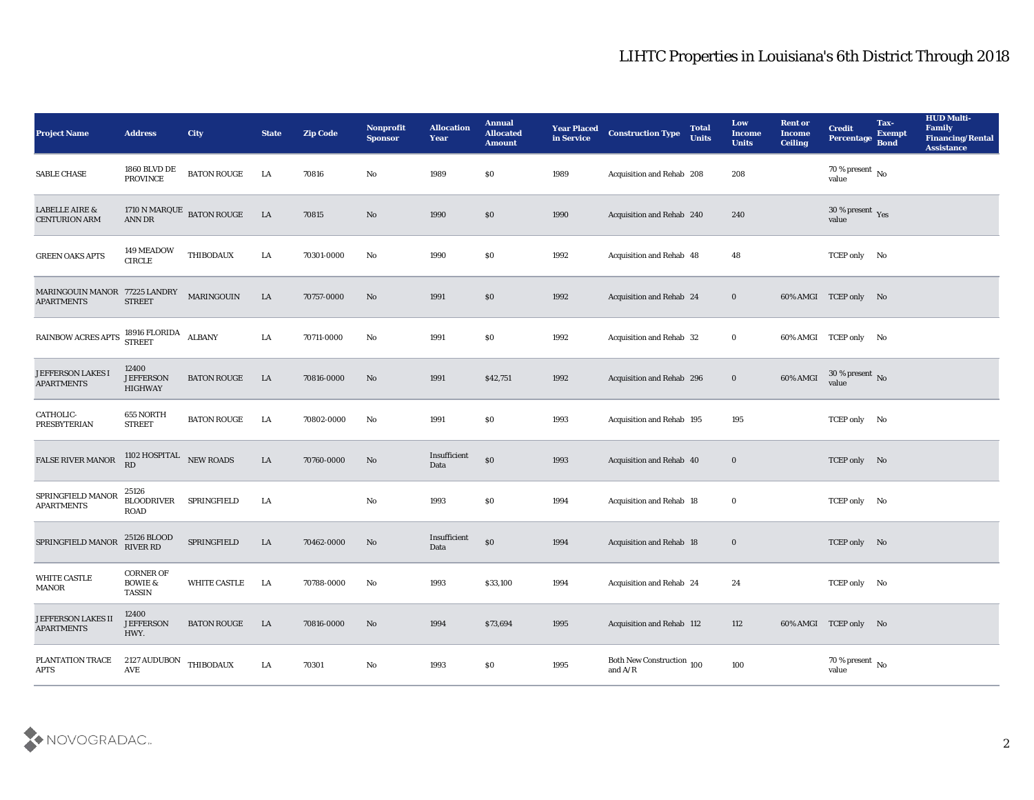| <b>Project Name</b>                                | <b>Address</b>                                          | <b>City</b>               | <b>State</b> | <b>Zip Code</b> | <b>Nonprofit</b><br><b>Sponsor</b> | <b>Allocation</b><br><b>Year</b> | <b>Annual</b><br><b>Allocated</b><br><b>Amount</b> | <b>Year Placed</b><br>in Service | <b>Construction Type</b>                                                           | <b>Total</b><br><b>Units</b> | Low<br><b>Income</b><br><b>Units</b> | <b>Rent or</b><br><b>Income</b><br><b>Ceiling</b> | <b>Credit</b><br><b>Percentage</b> | Tax-<br><b>Exempt</b><br><b>Bond</b> | <b>HUD Multi-</b><br><b>Family</b><br><b>Financing/Rental</b><br><b>Assistance</b> |
|----------------------------------------------------|---------------------------------------------------------|---------------------------|--------------|-----------------|------------------------------------|----------------------------------|----------------------------------------------------|----------------------------------|------------------------------------------------------------------------------------|------------------------------|--------------------------------------|---------------------------------------------------|------------------------------------|--------------------------------------|------------------------------------------------------------------------------------|
| SABLE CHASE                                        | 1860 BLVD DE<br><b>PROVINCE</b>                         | <b>BATON ROUGE</b>        | LA           | 70816           | No                                 | 1989                             | $\$0$                                              | 1989                             | Acquisition and Rehab 208                                                          |                              | 208                                  |                                                   | 70 % present $\sqrt{\ }$<br>value  |                                      |                                                                                    |
| <b>LABELLE AIRE &amp;</b><br><b>CENTURION ARM</b>  | <b>ANN DR</b>                                           | 1710 N MARQUE BATON ROUGE | LA           | 70815           | No                                 | 1990                             | $\$0$                                              | 1990                             | Acquisition and Rehab 240                                                          |                              | 240                                  |                                                   | 30 % present Yes<br>value          |                                      |                                                                                    |
| <b>GREEN OAKS APTS</b>                             | 149 MEADOW<br><b>CIRCLE</b>                             | <b>THIBODAUX</b>          | LA           | 70301-0000      | No                                 | 1990                             | \$0                                                | 1992                             | Acquisition and Rehab 48                                                           |                              | 48                                   |                                                   | TCEP only No                       |                                      |                                                                                    |
| MARINGOUIN MANOR 77225 LANDRY<br><b>APARTMENTS</b> | <b>STREET</b>                                           | MARINGOUIN                | LA           | 70757-0000      | No                                 | 1991                             | \$0                                                | 1992                             | Acquisition and Rehab 24                                                           |                              | $\bf{0}$                             |                                                   | 60% AMGI TCEP only No              |                                      |                                                                                    |
| <b>RAINBOW ACRES APTS</b>                          | 18916 FLORIDA<br><b>STREET</b>                          | <b>ALBANY</b>             | LA           | 70711-0000      | No                                 | 1991                             | $\$0$                                              | 1992                             | Acquisition and Rehab 32                                                           |                              | $\bf{0}$                             |                                                   | 60% AMGI TCEP only No              |                                      |                                                                                    |
| <b>JEFFERSON LAKES I</b><br><b>APARTMENTS</b>      | 12400<br><b>JEFFERSON</b><br><b>HIGHWAY</b>             | <b>BATON ROUGE</b>        | LA           | 70816-0000      | No                                 | 1991                             | \$42,751                                           | 1992                             | Acquisition and Rehab 296                                                          |                              | $\bf{0}$                             | 60% AMGI                                          | $30\,\%$ present $\,$ No value     |                                      |                                                                                    |
| CATHOLIC-<br><b>PRESBYTERIAN</b>                   | 655 NORTH<br><b>STREET</b>                              | <b>BATON ROUGE</b>        | LA           | 70802-0000      | No                                 | 1991                             | $\$0$                                              | 1993                             | Acquisition and Rehab 195                                                          |                              | 195                                  |                                                   | TCEP only No                       |                                      |                                                                                    |
| FALSE RIVER MANOR                                  | 1102 HOSPITAL<br>RD                                     | NEW ROADS                 | LA           | 70760-0000      | No                                 | Insufficient<br>Data             | $\$0$                                              | 1993                             | Acquisition and Rehab 40                                                           |                              | $\bf{0}$                             |                                                   | TCEP only No                       |                                      |                                                                                    |
| SPRINGFIELD MANOR<br><b>APARTMENTS</b>             | 25126<br><b>BLOODRIVER</b><br>ROAD                      | SPRINGFIELD               | LA           |                 | $\mathbf{No}$                      | 1993                             | $\$0$                                              | 1994                             | Acquisition and Rehab 18                                                           |                              | $\bf{0}$                             |                                                   | TCEP only No                       |                                      |                                                                                    |
| SPRINGFIELD MANOR                                  | 25126 BLOOD<br><b>RIVER RD</b>                          | SPRINGFIELD               | LA           | 70462-0000      | No                                 | Insufficient<br>Data             | $\$0$                                              | 1994                             | Acquisition and Rehab 18                                                           |                              | $\bf{0}$                             |                                                   | TCEP only No                       |                                      |                                                                                    |
| <b>WHITE CASTLE</b><br><b>MANOR</b>                | <b>CORNER OF</b><br><b>BOWIE &amp;</b><br><b>TASSIN</b> | <b>WHITE CASTLE</b>       | LA           | 70788-0000      | No                                 | 1993                             | \$33,100                                           | 1994                             | Acquisition and Rehab 24                                                           |                              | 24                                   |                                                   | TCEP only No                       |                                      |                                                                                    |
| <b>JEFFERSON LAKES II</b><br><b>APARTMENTS</b>     | 12400<br><b>JEFFERSON</b><br>HWY.                       | <b>BATON ROUGE</b>        | LA           | 70816-0000      | $\rm\thinspace No$                 | 1994                             | \$73,694                                           | 1995                             | Acquisition and Rehab 112                                                          |                              | 112                                  |                                                   | 60% AMGI TCEP only No              |                                      |                                                                                    |
| PLANTATION TRACE<br><b>APTS</b>                    | 2127 AUDUBON<br>$\operatorname{AVE}$                    | <b>THIBODAUX</b>          | LA           | 70301           | ${\bf No}$                         | 1993                             | \$0                                                | 1995                             | Both New Construction 100<br>and $\ensuremath{\mathrm{A}}/\ensuremath{\mathrm{R}}$ |                              | 100                                  |                                                   | $70\,\%$ present $\,$ No value     |                                      |                                                                                    |

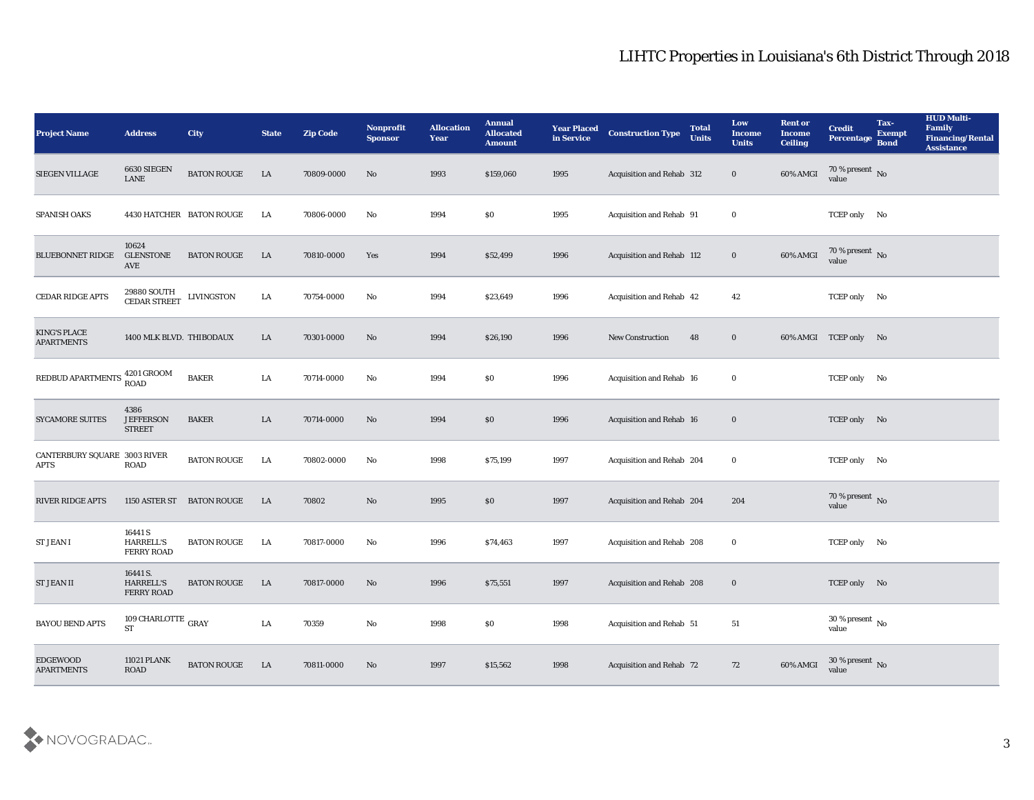| <b>Project Name</b>                         | <b>Address</b>                                   | <b>City</b>               | <b>State</b> | <b>Zip Code</b> | Nonprofit<br><b>Sponsor</b> | <b>Allocation</b><br><b>Year</b> | <b>Annual</b><br><b>Allocated</b><br><b>Amount</b> | <b>Year Placed</b><br>in Service | <b>Construction Type</b>  | <b>Total</b><br><b>Units</b> | Low<br><b>Income</b><br><b>Units</b> | <b>Rent or</b><br><b>Income</b><br><b>Ceiling</b> | <b>Credit</b><br>Percentage        | Tax-<br><b>Exempt</b><br><b>Bond</b> | <b>HUD Multi-</b><br>Family<br><b>Financing/Rental</b><br><b>Assistance</b> |
|---------------------------------------------|--------------------------------------------------|---------------------------|--------------|-----------------|-----------------------------|----------------------------------|----------------------------------------------------|----------------------------------|---------------------------|------------------------------|--------------------------------------|---------------------------------------------------|------------------------------------|--------------------------------------|-----------------------------------------------------------------------------|
| SIEGEN VILLAGE                              | 6630 SIEGEN<br>${\rm LANE}$                      | <b>BATON ROUGE</b>        | LA           | 70809-0000      | No                          | 1993                             | \$159,060                                          | 1995                             | Acquisition and Rehab 312 |                              | $\bf{0}$                             | 60% AMGI                                          | 70 % present No<br>value           |                                      |                                                                             |
| <b>SPANISH OAKS</b>                         |                                                  | 4430 HATCHER BATON ROUGE  | LA           | 70806-0000      | No                          | 1994                             | $\$0$                                              | 1995                             | Acquisition and Rehab 91  |                              | $\bf{0}$                             |                                                   | TCEP only No                       |                                      |                                                                             |
| <b>BLUEBONNET RIDGE</b>                     | 10624<br><b>GLENSTONE</b><br>AVE                 | <b>BATON ROUGE</b>        | LA           | 70810-0000      | Yes                         | 1994                             | \$52,499                                           | 1996                             | Acquisition and Rehab 112 |                              | $\bf{0}$                             | 60% AMGI                                          | $70\,\%$ present $\,$ No value     |                                      |                                                                             |
| CEDAR RIDGE APTS                            | 29880 SOUTH<br>CEDAR STREET                      | <b>LIVINGSTON</b>         | LA           | 70754-0000      | No                          | 1994                             | \$23,649                                           | 1996                             | Acquisition and Rehab 42  |                              | 42                                   |                                                   | TCEP only No                       |                                      |                                                                             |
| <b>KING'S PLACE</b><br><b>APARTMENTS</b>    | 1400 MLK BLVD. THIBODAUX                         |                           | LA           | 70301-0000      | No                          | 1994                             | \$26,190                                           | 1996                             | <b>New Construction</b>   | 48                           | $\bf{0}$                             |                                                   | 60% AMGI TCEP only No              |                                      |                                                                             |
| REDBUD APARTMENTS                           | 4201 GROOM<br><b>ROAD</b>                        | <b>BAKER</b>              | LA           | 70714-0000      | No                          | 1994                             | $\$0$                                              | 1996                             | Acquisition and Rehab 16  |                              | $\bf{0}$                             |                                                   | TCEP only No                       |                                      |                                                                             |
| <b>SYCAMORE SUITES</b>                      | 4386<br><b>JEFFERSON</b><br><b>STREET</b>        | <b>BAKER</b>              | LA           | 70714-0000      | No                          | 1994                             | \$0                                                | 1996                             | Acquisition and Rehab 16  |                              | $\bf{0}$                             |                                                   | TCEP only No                       |                                      |                                                                             |
| CANTERBURY SQUARE 3003 RIVER<br><b>APTS</b> | ROAD                                             | <b>BATON ROUGE</b>        | LA           | 70802-0000      | No                          | 1998                             | \$75,199                                           | 1997                             | Acquisition and Rehab 204 |                              | $\bf{0}$                             |                                                   | TCEP only No                       |                                      |                                                                             |
| <b>RIVER RIDGE APTS</b>                     |                                                  | 1150 ASTER ST BATON ROUGE | LA           | 70802           | No                          | 1995                             | \$0                                                | 1997                             | Acquisition and Rehab 204 |                              | 204                                  |                                                   | $70\,\%$ present $\,$ No value     |                                      |                                                                             |
| <b>ST JEAN I</b>                            | 16441 S<br><b>HARRELL'S</b><br><b>FERRY ROAD</b> | <b>BATON ROUGE</b>        | LA           | 70817-0000      | No                          | 1996                             | \$74,463                                           | 1997                             | Acquisition and Rehab 208 |                              | $\bf{0}$                             |                                                   | TCEP only No                       |                                      |                                                                             |
| <b>ST JEAN II</b>                           | 16441 S.<br><b>HARRELL'S</b><br>FERRY ROAD       | <b>BATON ROUGE</b>        | LA           | 70817-0000      | No                          | 1996                             | \$75,551                                           | 1997                             | Acquisition and Rehab 208 |                              | $\bf{0}$                             |                                                   | TCEP only No                       |                                      |                                                                             |
| <b>BAYOU BEND APTS</b>                      | 109 CHARLOTTE $_{\rm{GRAY}}$<br><b>ST</b>        |                           | ${\rm LA}$   | 70359           | $\rm\thinspace No$          | 1998                             | \$0                                                | 1998                             | Acquisition and Rehab 51  |                              | $51\,$                               |                                                   | 30 % present $\,$ No $\,$<br>value |                                      |                                                                             |
| EDGEWOOD<br><b>APARTMENTS</b>               | 11021 PLANK<br>$\rm{ROAD}$                       | <b>BATON ROUGE</b>        | LA           | 70811-0000      | $\mathbf{N}\mathbf{o}$      | 1997                             | \$15,562                                           | 1998                             | Acquisition and Rehab 72  |                              | 72                                   | 60% AMGI                                          | $30\,\%$ present $\,$ No value     |                                      |                                                                             |

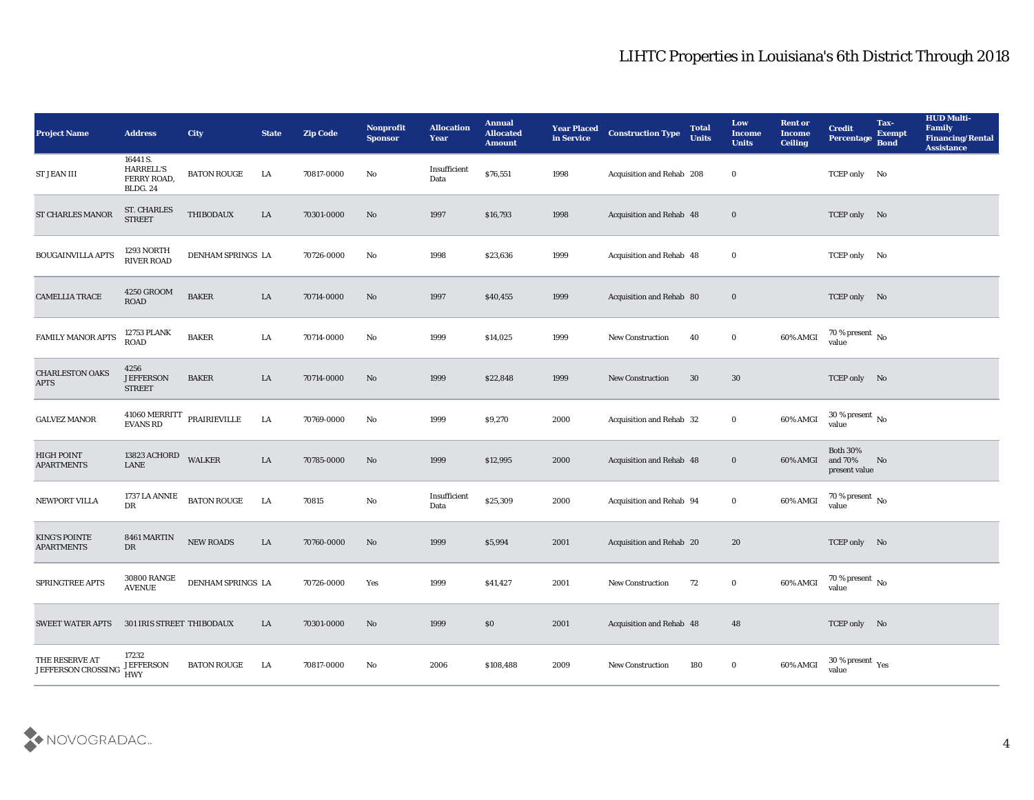| Project Name                               | <b>Address</b>                                                 | City               | <b>State</b> | <b>Zip Code</b> | Nonprofit<br><b>Sponsor</b> | <b>Allocation</b><br><b>Year</b> | <b>Annual</b><br><b>Allocated</b><br><b>Amount</b> | <b>Year Placed</b><br>in Service | <b>Construction Type</b>  | <b>Total</b><br><b>Units</b> | Low<br>Income<br><b>Units</b> | <b>Rent or</b><br>Income<br><b>Ceiling</b> | <b>Credit</b><br>Percentage                 | Tax-<br><b>Exempt</b><br><b>Bond</b> | <b>HUD Multi-</b><br>Family<br><b>Financing/Rental</b><br><b>Assistance</b> |
|--------------------------------------------|----------------------------------------------------------------|--------------------|--------------|-----------------|-----------------------------|----------------------------------|----------------------------------------------------|----------------------------------|---------------------------|------------------------------|-------------------------------|--------------------------------------------|---------------------------------------------|--------------------------------------|-----------------------------------------------------------------------------|
| <b>ST JEAN III</b>                         | 16441 S.<br><b>HARRELL'S</b><br>FERRY ROAD,<br><b>BLDG. 24</b> | <b>BATON ROUGE</b> | LA           | 70817-0000      | No                          | Insufficient<br>Data             | \$76,551                                           | 1998                             | Acquisition and Rehab 208 |                              | $\bf{0}$                      |                                            | TCEP only No                                |                                      |                                                                             |
| <b>ST CHARLES MANOR</b>                    | <b>ST. CHARLES</b><br><b>STREET</b>                            | THIBODAUX          | LA           | 70301-0000      | No                          | 1997                             | \$16,793                                           | 1998                             | Acquisition and Rehab 48  |                              | $\bf{0}$                      |                                            | TCEP only No                                |                                      |                                                                             |
| <b>BOUGAINVILLA APTS</b>                   | 1293 NORTH<br><b>RIVER ROAD</b>                                | DENHAM SPRINGS LA  |              | 70726-0000      | No                          | 1998                             | \$23,636                                           | 1999                             | Acquisition and Rehab 48  |                              | $\bf{0}$                      |                                            | TCEP only No                                |                                      |                                                                             |
| <b>CAMELLIA TRACE</b>                      | 4250 GROOM<br><b>ROAD</b>                                      | <b>BAKER</b>       | LA           | 70714-0000      | No                          | 1997                             | \$40,455                                           | 1999                             | Acquisition and Rehab 80  |                              | $\bf{0}$                      |                                            | TCEP only No                                |                                      |                                                                             |
| FAMILY MANOR APTS                          | <b>12753 PLANK</b><br><b>ROAD</b>                              | <b>BAKER</b>       | LA           | 70714-0000      | No                          | 1999                             | \$14,025                                           | 1999                             | <b>New Construction</b>   | 40                           | $\bf{0}$                      | 60% AMGI                                   | 70 % present $\,$ No $\,$<br>value          |                                      |                                                                             |
| <b>CHARLESTON OAKS</b><br><b>APTS</b>      | 4256<br><b>JEFFERSON</b><br><b>STREET</b>                      | <b>BAKER</b>       | LA           | 70714-0000      | No                          | 1999                             | \$22,848                                           | 1999                             | <b>New Construction</b>   | 30                           | 30                            |                                            | TCEP only No                                |                                      |                                                                             |
| <b>GALVEZ MANOR</b>                        | 41060 MERRITT<br><b>EVANS RD</b>                               | PRAIRIEVILLE       | LA           | 70769-0000      | No                          | 1999                             | \$9,270                                            | 2000                             | Acquisition and Rehab 32  |                              | $\bf{0}$                      | 60% AMGI                                   | $30\,\%$ present $\,$ No value              |                                      |                                                                             |
| <b>HIGH POINT</b><br><b>APARTMENTS</b>     | 13823 ACHORD<br><b>LANE</b>                                    | <b>WALKER</b>      | LA           | 70785-0000      | No                          | 1999                             | \$12,995                                           | 2000                             | Acquisition and Rehab 48  |                              | $\bf{0}$                      | 60% AMGI                                   | <b>Both 30%</b><br>and 70%<br>present value | No                                   |                                                                             |
| NEWPORT VILLA                              | 1737 LA ANNIE<br>DR                                            | <b>BATON ROUGE</b> | LA           | 70815           | No                          | Insufficient<br>Data             | \$25,309                                           | 2000                             | Acquisition and Rehab 94  |                              | $\bf{0}$                      | 60% AMGI                                   | 70 % present $\,$ No $\,$<br>value          |                                      |                                                                             |
| <b>KING'S POINTE</b><br><b>APARTMENTS</b>  | 8461 MARTIN<br>DR                                              | NEW ROADS          | ${\rm LA}$   | 70760-0000      | No                          | 1999                             | \$5,994                                            | 2001                             | Acquisition and Rehab 20  |                              | 20                            |                                            | TCEP only No                                |                                      |                                                                             |
| SPRINGTREE APTS                            | <b>30800 RANGE</b><br><b>AVENUE</b>                            | DENHAM SPRINGS LA  |              | 70726-0000      | Yes                         | 1999                             | \$41,427                                           | 2001                             | New Construction          | 72                           | $\bf{0}$                      | 60% AMGI                                   | 70 % present $\,$ No $\,$<br>value          |                                      |                                                                             |
| SWEET WATER APTS 301 IRIS STREET THIBODAUX |                                                                |                    | LA           | 70301-0000      | No                          | 1999                             | $\$0$                                              | 2001                             | Acquisition and Rehab 48  |                              | 48                            |                                            | TCEP only No                                |                                      |                                                                             |
| THE RESERVE AT<br>JEFFERSON CROSSING       | 17232<br><b>JEFFERSON</b><br><b>HWY</b>                        | <b>BATON ROUGE</b> | LA           | 70817-0000      | No                          | 2006                             | \$108,488                                          | 2009                             | New Construction          | 180                          | $\bf{0}$                      | 60% AMGI                                   | $30$ % present $\,$ $\rm Yes$<br>value      |                                      |                                                                             |

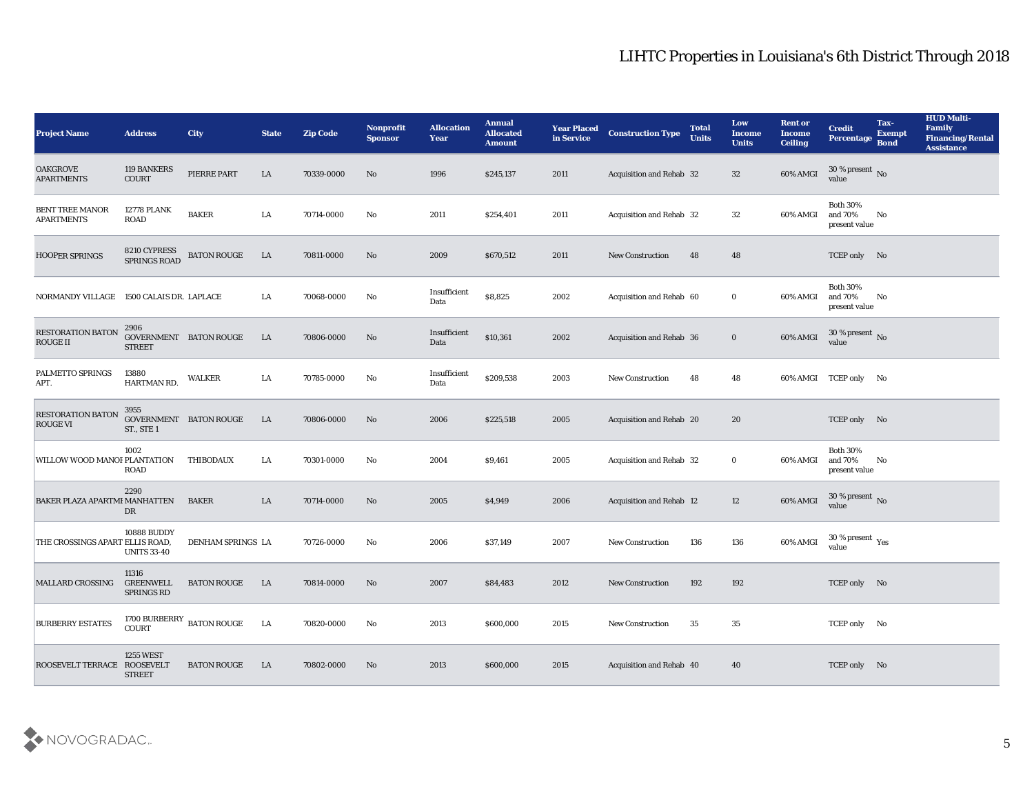| <b>Project Name</b>                         | <b>Address</b>                               | City                                   | <b>State</b> | <b>Zip Code</b> | Nonprofit<br><b>Sponsor</b> | <b>Allocation</b><br><b>Year</b> | <b>Annual</b><br><b>Allocated</b><br><b>Amount</b> | <b>Year Placed</b><br>in Service | <b>Construction Type</b>        | <b>Total</b><br><b>Units</b> | Low<br><b>Income</b><br><b>Units</b> | <b>Rent or</b><br>Income<br><b>Ceiling</b> | <b>Credit</b><br><b>Percentage</b>          | Tax-<br><b>Exempt</b><br><b>Bond</b> | <b>HUD Multi-</b><br>Family<br><b>Financing/Rental</b><br><b>Assistance</b> |
|---------------------------------------------|----------------------------------------------|----------------------------------------|--------------|-----------------|-----------------------------|----------------------------------|----------------------------------------------------|----------------------------------|---------------------------------|------------------------------|--------------------------------------|--------------------------------------------|---------------------------------------------|--------------------------------------|-----------------------------------------------------------------------------|
| <b>OAKGROVE</b><br><b>APARTMENTS</b>        | 119 BANKERS<br>COURT                         | PIERRE PART                            | LA           | 70339-0000      | No                          | 1996                             | \$245,137                                          | 2011                             | <b>Acquisition and Rehab 32</b> |                              | 32                                   | 60% AMGI                                   | $30\,\%$ present $_{\, \rm No}$<br>value    |                                      |                                                                             |
| <b>BENT TREE MANOR</b><br><b>APARTMENTS</b> | <b>12778 PLANK</b><br><b>ROAD</b>            | <b>BAKER</b>                           | LA           | 70714-0000      | No                          | 2011                             | \$254,401                                          | 2011                             | Acquisition and Rehab 32        |                              | 32                                   | 60% AMGI                                   | <b>Both 30%</b><br>and 70%<br>present value | No                                   |                                                                             |
| HOOPER SPRINGS                              | 8210 CYPRESS<br>SPRINGS ROAD                 | <b>BATON ROUGE</b>                     | LA           | 70811-0000      | No                          | 2009                             | \$670,512                                          | 2011                             | <b>New Construction</b>         | 48                           | 48                                   |                                            | TCEP only No                                |                                      |                                                                             |
| NORMANDY VILLAGE 1500 CALAIS DR. LAPLACE    |                                              |                                        | LA           | 70068-0000      | No                          | Insufficient<br>Data             | \$8,825                                            | 2002                             | Acquisition and Rehab 60        |                              | $\bf{0}$                             | 60% AMGI                                   | <b>Both 30%</b><br>and 70%<br>present value | No                                   |                                                                             |
| RESTORATION BATON<br><b>ROUGE II</b>        | 2906<br><b>STREET</b>                        | GOVERNMENT BATON ROUGE                 | LA           | 70806-0000      | No                          | Insufficient<br>Data             | \$10,361                                           | 2002                             | Acquisition and Rehab 36        |                              | $\bf{0}$                             | 60% AMGI                                   | $30\,\%$ present $\,$ No $\,$<br>value      |                                      |                                                                             |
| PALMETTO SPRINGS<br>APT.                    | 13880<br>HARTMAN RD.                         | WALKER                                 | LA           | 70785-0000      | No                          | Insufficient<br>Data             | \$209,538                                          | 2003                             | <b>New Construction</b>         | 48                           | 48                                   |                                            | 60% AMGI TCEP only No                       |                                      |                                                                             |
| <b>RESTORATION BATON</b><br><b>ROUGE VI</b> | 3955<br>GOVERNMENT BATON ROUGE<br>ST., STE 1 |                                        | LA           | 70806-0000      | No                          | 2006                             | \$225,518                                          | 2005                             | Acquisition and Rehab 20        |                              | 20                                   |                                            | TCEP only No                                |                                      |                                                                             |
| WILLOW WOOD MANOI PLANTATION                | 1002<br><b>ROAD</b>                          | <b>THIBODAUX</b>                       | LA.          | 70301-0000      | No                          | 2004                             | \$9,461                                            | 2005                             | Acquisition and Rehab 32        |                              | $\bf{0}$                             | 60% AMGI                                   | <b>Both 30%</b><br>and 70%<br>present value | No                                   |                                                                             |
| BAKER PLAZA APARTMI MANHATTEN               | 2290<br>DR                                   | <b>BAKER</b>                           | LA           | 70714-0000      | No                          | 2005                             | \$4,949                                            | 2006                             | Acquisition and Rehab 12        |                              | 12                                   | 60% AMGI                                   | $30\,\%$ present $_{\, \rm No}$<br>value    |                                      |                                                                             |
| THE CROSSINGS APART ELLIS ROAD,             | 10888 BUDDY<br><b>UNITS 33-40</b>            | DENHAM SPRINGS LA                      |              | 70726-0000      | No                          | 2006                             | \$37,149                                           | 2007                             | <b>New Construction</b>         | 136                          | 136                                  | 60% AMGI                                   | $30\,\%$ present $\,$ Yes value             |                                      |                                                                             |
| <b>MALLARD CROSSING</b>                     | 11316<br>GREENWELL<br>SPRINGS RD             | <b>BATON ROUGE</b>                     | LA           | 70814-0000      | No                          | 2007                             | \$84,483                                           | 2012                             | <b>New Construction</b>         | 192                          | 192                                  |                                            | TCEP only No                                |                                      |                                                                             |
| <b>BURBERRY ESTATES</b>                     |                                              | $1700$ BURBERRY $\,$ BATON ROUGE COURT | LA           | 70820-0000      | $\rm\thinspace No$          | 2013                             | \$600,000                                          | 2015                             | New Construction                | 35                           | 35                                   |                                            | TCEP only No                                |                                      |                                                                             |
| ROOSEVELT TERRACE ROOSEVELT                 | <b>1255 WEST</b><br><b>STREET</b>            | <b>BATON ROUGE</b>                     | LA           | 70802-0000      | No                          | 2013                             | \$600,000                                          | 2015                             | Acquisition and Rehab 40        |                              | 40                                   |                                            | TCEP only No                                |                                      |                                                                             |